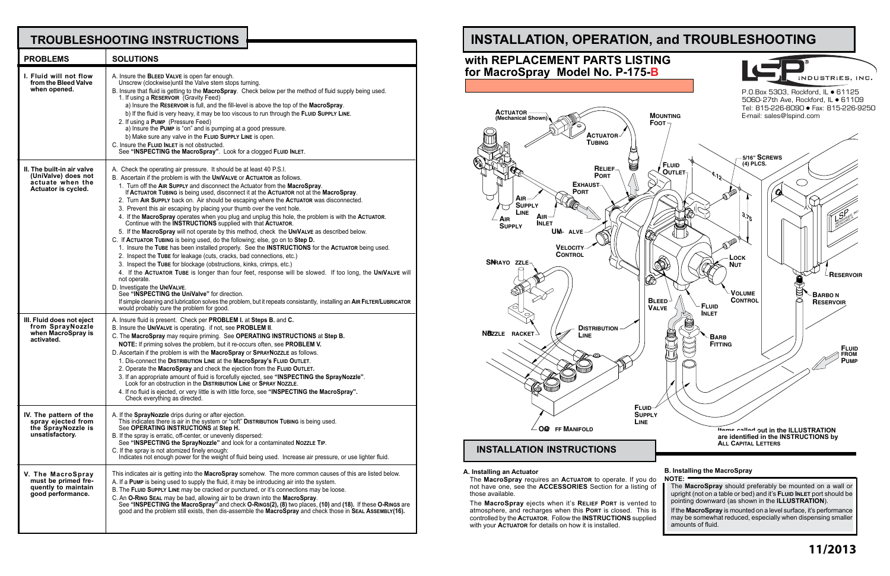## **TROUBLESHOOTING INSTRUCTIONS**

| <b>PROBLEMS</b>                                                                              | <b>SOLUTIONS</b>                                                                                                                                                                                                                                                                                                                                                                                                                                                                                                                                                                                                                                                                                                                                                                                                                                                                                                                                                                                                                                                                                                                                                                                                                                                                                                                                                                                                                                                                                        |
|----------------------------------------------------------------------------------------------|---------------------------------------------------------------------------------------------------------------------------------------------------------------------------------------------------------------------------------------------------------------------------------------------------------------------------------------------------------------------------------------------------------------------------------------------------------------------------------------------------------------------------------------------------------------------------------------------------------------------------------------------------------------------------------------------------------------------------------------------------------------------------------------------------------------------------------------------------------------------------------------------------------------------------------------------------------------------------------------------------------------------------------------------------------------------------------------------------------------------------------------------------------------------------------------------------------------------------------------------------------------------------------------------------------------------------------------------------------------------------------------------------------------------------------------------------------------------------------------------------------|
| I. Fluid will not flow<br>from the Bleed Valve<br>when opened.                               | A. Insure the BLEED VALVE is open far enough.<br>Unscrew (clockwise) until the Valve stem stops turning.<br>B. Insure that fluid is getting to the MacroSpray. Check below per the method of fluid supply being used.<br>1. If using a RESERVOIR (Gravity Feed)<br>a) Insure the RESERVOIR is full, and the fill-level is above the top of the MacroSpray.<br>b) If the fluid is very heavy, it may be too viscous to run through the FLUID SUPPLY LINE.<br>2. If using a PUMP (Pressure Feed)<br>a) Insure the Pump is "on" and is pumping at a good pressure.<br>b) Make sure any valve in the FLUID SUPPLY LINE is open.<br>C. Insure the FLUID INLET is not obstructed.<br>See "INSPECTING the MacroSpray". Look for a clogged FLUID INLET.                                                                                                                                                                                                                                                                                                                                                                                                                                                                                                                                                                                                                                                                                                                                                         |
| II. The built-in air valve<br>(UniValve) does not<br>actuate when the<br>Actuator is cycled. | A. Check the operating air pressure. It should be at least 40 P.S.I.<br>B. Ascertain if the problem is with the UNIVALVE or ACTUATOR as follows.<br>1. Turn off the AIR SUPPLY and disconnect the Actuator from the MacroSpray.<br>If ACTUATOR TUBING is being used, disconnect it at the ACTUATOR not at the MacroSpray.<br>2. Turn AIR SUPPLY back on. Air should be escaping where the ACTUATOR was disconnected.<br>3. Prevent this air escaping by placing your thumb over the vent hole.<br>4. If the MacroSpray operates when you plug and unplug this hole, the problem is with the ACTUATOR.<br>Continue with the <b>INSTRUCTIONS</b> supplied with that ACTUATOR.<br>5. If the MacroSpray will not operate by this method, check the UNIVALVE as described below.<br>C. If ACTUATOR TUBING is being used, do the following; else, go on to Step D.<br>1. Insure the TUBE has been installed properly. See the INSTRUCTIONS for the ACTUATOR being used.<br>2. Inspect the TUBE for leakage (cuts, cracks, bad connections, etc.)<br>3. Inspect the TUBE for blockage (obstructions, kinks, crimps, etc.)<br>4. If the ACTUATOR TUBE is longer than four feet, response will be slowed. If too long, the UNIVALVE will<br>not operate.<br>D. Investigate the UNIVALVE.<br>See "INSPECTING the UniValve" for direction.<br>If simple cleaning and lubrication solves the problem, but it repeats consistantly, installing an AIR FILTER/LUBRICATOR<br>would probably cure the problem for good. |
| III. Fluid does not eject<br>from SprayNozzle<br>when MacroSpray is<br>activated.            | A. Insure fluid is present. Check per PROBLEM I. at Steps B. and C.<br>B. Insure the UNIVALVE is operating. if not, see PROBLEM II.<br>C. The MacroSpray may require priming. See OPERATING INSTRUCTIONS at Step B.<br>NOTE: If priming solves the problem, but it re-occurs often, see PROBLEM V.<br>D. Ascertain if the problem is with the MacroSpray or SPRAYNOZZLE as follows.<br>1. Dis-connect the DISTRIBUTION LINE at the MacroSpray's FLUID OUTLET.<br>2. Operate the MacroSpray and check the ejection from the FLUID OUTLET.<br>3. If an appropriate amount of fluid is forcefully ejected, see "INSPECTING the SprayNozzle".<br>Look for an obstruction in the DISTRIBUTION LINE OF SPRAY NOZZLE.<br>4. If no fluid is ejected, or very little is with little force, see "INSPECTING the MacroSpray".<br>Check everything as directed.                                                                                                                                                                                                                                                                                                                                                                                                                                                                                                                                                                                                                                                     |
| IV. The pattern of the<br>spray ejected from<br>the SprayNozzle is<br>unsatisfactory.        | A. If the <b>SprayNozzle</b> drips during or after ejection.<br>This indicates there is air in the system or "soft" DISTRIBUTION TUBING is being used.<br>See OPERATING INSTRUCTIONS at Step H.<br>B. If the spray is erratic, off-center, or unevenly dispersed:<br>See "INSPECTING the SprayNozzle" and look for a contaminated NozzLE TIP.<br>C. If the spray is not atomized finely enough:<br>Indicates not enough power for the weight of fluid being used. Increase air pressure, or use lighter fluid.                                                                                                                                                                                                                                                                                                                                                                                                                                                                                                                                                                                                                                                                                                                                                                                                                                                                                                                                                                                          |
| V. The MacroSpray<br>must be primed fre-<br>quently to maintain<br>good performance.         | This indicates air is getting into the MacroSpray somehow. The more common causes of this are listed below.<br>A. If a PUMP is being used to supply the fluid, it may be introducing air into the system.<br>B. The FLUID SUPPLY LINE may be cracked or punctured, or it's connections may be loose.<br>C. An O-RING SEAL may be bad, allowing air to be drawn into the MacroSpray.<br>See "INSPECTING the MacroSpray" and check O-RINGS(2), (8) two places, (10) and (18). If these O-RINGS are<br>good and the problem still exists, then dis-assemble the MacroSpray and check those in SEAL ASSEMBLY(16).                                                                                                                                                                                                                                                                                                                                                                                                                                                                                                                                                                                                                                                                                                                                                                                                                                                                                           |

The **MacroSpray** ejects when it's **Relief Port** is vented to atmosphere, and recharges when this **Port** is closed. This is controlled by the **Actuator**. Follow the **INSTRUCTIONS** supplied with your **ACTUATOR** for details on how it is installed.





P.O.Box 5303, Rockford, IL ● 61125 5060-27th Ave, Rockford, IL • 61109 Tel: 815-226-8090 Fax: 815-226-9250

# **INSTALLATION, OPERATION, and TROUBLESHOOTING**

## **with REPLACEMENT PARTS LISTING for MacroSpray Model No. P-175-B**

### **B. Installing the MacroSpray NOTE:**

The **MacroSpray** should preferably be mounted on a wall or upright (not on a table or bed) and it's **Fluid Inlet** port should be pointing downward (as shown in the **ILLUSTRATION**). If the **MacroSpray** is mounted on a level surface, it's performance may be somewhat reduced, especially when dispensing smaller amounts of fluid.

### **A. Installing an Actuator**

The **MacroSpray** requires an **Actuator** to operate. If you do not have one, see the **ACCESSORIES** Section for a listing of those available.

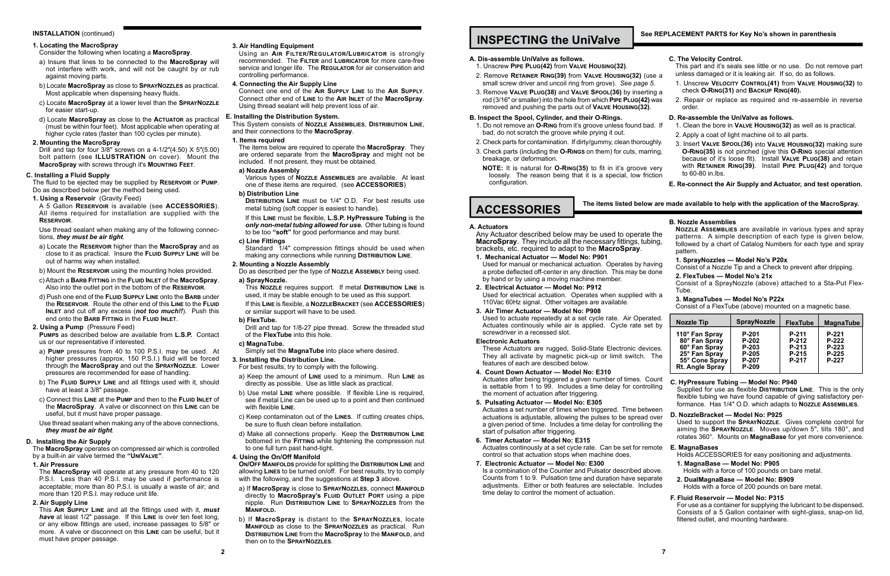### **INSTALLATION** (continued)

### **1. Locating the MacroSpray**

### Consider the following when locating a **MacroSpray**.

- a) Insure that lines to be connected to the **MacroSpray** will not interfere with work, and will not be caught by or rub against moving parts.
- b) Locate **MacroSpray** as close to **SprayNozzles** as practical. Most applicable when dispensing heavy fluids.
- c) Locate **MacroSpray** at a lower level than the **SprayNozzle** for easier start-up.
- d) Locate **MacroSpray** as close to the **Actuator** as practical (must be within four feet). Most applicable when operating at higher cycle rates (faster than 100 cycles per minute).

### **2. Mounting the MacroSpray**

Drill and tap for four 3/8" screws on a 4-1/2"(4.50) X 5"(5.00) bolt pattern (see **ILLUSTRATION** on cover). Mount the **MacroSpray** with screws through it's **Mounting Feet**.

### **C. Installing a Fluid Supply**

The fluid to be ejected may be supplied by **Reservoir** or **Pump**. Do as described below per the method being used.

**1. Using a Reservoir** (Gravity Feed)

A 5 Gallon **Reservoir** is available (see **ACCESSORIES**). All items required for installation are supplied with the **Reservoir**.

Use thread sealant when making any of the following connections, *they must be air tight*.

- a) Locate the **Reservoir** higher than the **MacroSpray** and as close to it as practical. Insure the **Fluid Supply Line** will be out of harms way when installed.
- b) Mount the **Reservoir** using the mounting holes provided.
- c) Attach a **Barb Fitting** in the **Fluid Inlet** of the **MacroSpray**. Also into the outlet port in the bottom of the **Reservoir**.
- d) Push one end of the **Fluid Supply Line** onto the **Barb** under the **Reservoir**. Route the other end of this **Line** to the **Fluid INLET** and cut off any excess (*not too much!!*). Push this end onto the **Barb Fitting** in the **Fluid Inlet**.

### **2. Using a Pump** (Pressure Feed)

**Pumps** as described below are available from **L.S.P.** Contact us or our representative if interested.

- a) **Pump** pressures from 40 to 100 P.S.I. may be used. At higher pressures (approx. 150 P.S.I.) fluid will be forced through the **MacroSpray** and out the **SprayNozzle**. Lower pressures are recommended for ease of handling.
- b) The **Fluid Supply Line** and all fittings used with it, should have at least a 3/8" passage.
- c) Connect this **Line** at the **Pump** and then to the **Fluid Inlet** of the **MacroSpray**. A valve or disconnect on this **Line** can be useful, but it must have proper passage.
- Use thread sealant when making any of the above connections, *they must be air tight*.

Standard 1/4" compression fittings should be used when making any connections while running **Distribution Line**.

### **D. Installing the Air Supply**

The **MacroSpray** operates on compressed air which is controlled by a built-in air valve termed the **"UniValve"**.

**1. Air Pressure**

The **MacroSpray** will operate at any pressure from 40 to 120 P.S.I. Less than 40 P.S.I. may be used if performance is acceptable; more than 80 P.S.I. is usually a waste of air; and more than 120 P.S.I. may reduce unit life.

**2. Air Supply Line**

This **Air Supply Line** and all the fittings used with it, *must have* at least 1/2" passage. If this **Line** is over ten feet long, or any elbow fittings are used, increase passages to 5/8" or more. A valve or disconnect on this **Line** can be useful, but it must have proper passage.

### **3. Air Handling Equipment**

Using an **Air Filter/Regulator/Lubricator** is strongly recommended. The **Filter** and **Lubricator** for more care-free service and longer life. The **Regulator** for air conservation and controlling performance.

### **4. Connecting the Air Supply Line**

Connect one end of the **Air Supply Line** to the **Air Supply**. Connect other end of **Line** to the **Air Inlet** of the **MacroSpray**. Using thread sealant will help prevent loss of air.

- 2. Check parts for contamination. If dirty/gummy, clean thoroug
- 3. Check parts (including the **O-Rings** on them) for cuts, marring, breakage, or deformation.
- **NOTE:** It is natural for **O-RING(35)** to fit in it's groove v loosely. The reason being that it is a special, low frict configuration.

### **E. Installing the Distribution System.**

This System consists of **Nozzle Assemblies**, **Distribution Line**, and their connections to the **MacroSpray**.

### **1. Items required**

The items below are required to operate the **MacroSpray**. They are ordered separate from the **MacroSpray** and might not be included. If not present, they must be obtained.

### **a) Nozzle Assembly**

Various types of **Nozzle Assemblies** are available. At least one of these items are required. (see **ACCESSORIES**)

**b) Distribution Line**

Any Actuator described below may be used to operate **MacroSpray.** They include all the necessary fittings, tubing brackets, etc. required to adapt to the **MacroSpray**.

**Distribution Line** must be 1/4" O.D. For best results use metal tubing (soft copper is easiest to handle).

> Used for manual or mechanical actuation. Operates by having a probe deflected off-center in any direction. This may be do by hand or by using a moving machine member.

If this **Line** must be flexible, **L.S.P. HyPressure Tubing** is the *only non-metal tubing allowed for use.* Other tubing is found to be too **"soft"** for good performance and may burst.

> Used for electrical actuation. Operates when supplied with 110Vac 60Hz signal. Other voltages are available.

### **c) Line Fittings**

Used to actuate repeatedly at a set cycle rate. Air Operat Actuates continously while air is applied. Cycle rate set screwdriver in a recessed slot.

These Actuators are rugged, Solid-State Electronic device They all activate by magnetic pick-up or limit switch. features of each are descibed below.

### **2. Mounting a Nozzle Assembly**

Do as described per the type of **Nozzle Assembly** being used. **a) SprayNozzle.**

Actuates after being triggered a given number of times. Co is settable from 1 to 99. Includes a time delay for controll the moment of actuation after triggering.

This **Nozzle** requires support. If metal **Distribution Line** is used, it may be stable enough to be used as this support.

If this **Line** is flexible, a **NozzleBracket** (see **ACCESSORIES**) or similar support will have to be used.

### **b) FlexTube.**

Drill and tap for 1/8-27 pipe thread. Screw the threaded stud of the **FlexTube** into this hole.

### **c) MagnaTube.**

Simply set the **MagnaTube** into place where desired.

### **3. Installing the Distribution Line.**

- For best results, try to comply with the following.
- a) Keep the amount of **Line** used to a minimum. Run **Line** as directly as possible. Use as little slack as practical.
- b) Use metal **Line** where possible. If flexible Line is required, see if metal Line can be used up to a point and then continued with flexible **Line**.
- c) Keep contaminaton out of the **Lines**. If cutting creates chips, be sure to flush clean before installation.
- d) Make all connections properly. Keep the **Distribution Line** bottomed in the **FITTING** while tightening the compression nut to one full turn past hand-tight.

### **4. Using the On/Off Manifold**

**On/Off Manifolds** provide for splitting the **Distribution Line** and allowing **Lines** to be turned on/off. For best results, try to comply with the following, and the suggestions at **Step 3** above.

- a) If **MacroSpray** is close to **SprayNozzles**, connect **Manifold** directly to **MacroSpray's Fluid Outlet Port** using a pipe nipple. Run **Distribution Line** to **SprayNozzles** from the **Manifold.**
- b) If **MacroSpray** is distant to the **SprayNozzles**, locate **Manifold** as close to the **SprayNozzles** as practical. Run **Distribution Line** from the **MacroSpray** to the **Manifold**, and then on to the **SprayNozzles**.

## **INSPECTING the UniValve**

### **A. Dis-assemble UniValve as follows.**

- 1. Unscrew **Pipe Plug(42)** from **Valve Housing(32)**.
- 2. Remove **RETAINER RING(39)** from VALVE HOUSING(32) (us small screw driver and uncoil ring from grove). *See page 5.*
- 3. Remove **Valve Plug(38)** and **Valve Spool(36)** by inserting a rod (3/16" or smaller) into the hole from which **PIPE PLUG(42)** removed and pushing the parts out of **Valve Housing(32)**.

### **B. Inspect the Spool, Cylinder, and their O-Rings.**

1. Do not remove an **O-Ring** from it's groove unless found bad. If bad, do not scratch the groove while prying it out.

### **A. Actuators**

**1. Mechanical Actuator — Model No: P901**

**2. Electrical Actuator — Model No: P912**

**3. Air Timer Actuator — Model No: P908**

### **Electronic Actuators**

**4. Count Down Actuator — Model No: E310**

| se a         | C. The Velocity Control.<br>This part and it's seals see little or no use. Do not remove part<br>unless damaged or it is leaking air. If so, do as follows. |                                                                                                                                                                                            |                 |                  |  |  |
|--------------|-------------------------------------------------------------------------------------------------------------------------------------------------------------|--------------------------------------------------------------------------------------------------------------------------------------------------------------------------------------------|-----------------|------------------|--|--|
| 5.<br>າg a   | 1. Unscrew VELOCITY CONTROL(41) from VALVE HOUSING(32) to<br>check O-RING(31) and BACKUP RING(40).                                                          |                                                                                                                                                                                            |                 |                  |  |  |
| was          | 2. Repair or replace as required and re-assemble in reverse<br>order.                                                                                       |                                                                                                                                                                                            |                 |                  |  |  |
| d. If        | D. Re-assemble the UniValve as follows.<br>1. Clean the bore in VALVE HOUSING(32) as well as is practical.                                                  |                                                                                                                                                                                            |                 |                  |  |  |
|              | 2. Apply a coat of light machine oil to all parts.                                                                                                          |                                                                                                                                                                                            |                 |                  |  |  |
| jhly.        | 3. Insert VALVE SPOOL(36) into VALVE HOUSING(32) making sure                                                                                                |                                                                                                                                                                                            |                 |                  |  |  |
| ing,         |                                                                                                                                                             | O-RING(35) is not pinched (give this O-RING special attention<br>because of it's loose fit). Install VALVE PLUG(38) and retain<br>with RETAINER RING(39). Install PIPE PLUG(42) and torque |                 |                  |  |  |
| /ery<br>tion | to 60-80 in lbs.                                                                                                                                            |                                                                                                                                                                                            |                 |                  |  |  |
|              | E. Re-connect the Air Supply and Actuator, and test operation.                                                                                              |                                                                                                                                                                                            |                 |                  |  |  |
|              |                                                                                                                                                             |                                                                                                                                                                                            |                 |                  |  |  |
|              | are made available to help with the application of the MacroSpray.                                                                                          |                                                                                                                                                                                            |                 |                  |  |  |
|              |                                                                                                                                                             |                                                                                                                                                                                            |                 |                  |  |  |
|              | <b>B. Nozzle Assemblies</b><br>NOZZLE ASSEMBLIES are available in various types and spray                                                                   |                                                                                                                                                                                            |                 |                  |  |  |
| the          | patterns. A simple description of each type is given below,                                                                                                 |                                                                                                                                                                                            |                 |                  |  |  |
| ing,         | followed by a chart of Catalog Numbers for each type and spray                                                                                              |                                                                                                                                                                                            |                 |                  |  |  |
|              | pattern.<br>1. SprayNozzles - Model No's P20x                                                                                                               |                                                                                                                                                                                            |                 |                  |  |  |
| ving         | Consist of a Nozzle Tip and a Check to prevent after dripping.                                                                                              |                                                                                                                                                                                            |                 |                  |  |  |
| one          | 2. FlexTubes - Model No's 21x                                                                                                                               |                                                                                                                                                                                            |                 |                  |  |  |
|              | Consist of a SprayNozzle (above) attached to a Sta-Put Flex-                                                                                                |                                                                                                                                                                                            |                 |                  |  |  |
| th a         | Tube.<br>3. MagnaTubes - Model No's P22x                                                                                                                    |                                                                                                                                                                                            |                 |                  |  |  |
|              | Consist of a FlexTube (above) mounted on a magnetic base.                                                                                                   |                                                                                                                                                                                            |                 |                  |  |  |
| ted.         |                                                                                                                                                             | <b>SprayNozzle</b>                                                                                                                                                                         |                 |                  |  |  |
| t by         | <b>Nozzle Tip</b>                                                                                                                                           |                                                                                                                                                                                            | <b>FlexTube</b> | <b>MagnaTube</b> |  |  |
|              | 110° Fan Spray<br>80° Fan Spray                                                                                                                             | P-201<br>P-202                                                                                                                                                                             | P-211<br>P-212  | P-221<br>P-222   |  |  |
| ces.         | 60° Fan Spray                                                                                                                                               | P-203                                                                                                                                                                                      | P-213           | P-223            |  |  |
| The          | 25° Fan Spray<br>55° Cone Spray                                                                                                                             | P-205<br>P-207                                                                                                                                                                             | P-215<br>P-217  | $P-225$<br>P-227 |  |  |
|              | Rt. Angle Spray                                                                                                                                             | P-209                                                                                                                                                                                      |                 |                  |  |  |
| วนทt         | C. HyPressure Tubing - Model No: P940                                                                                                                       |                                                                                                                                                                                            |                 |                  |  |  |
| lling        | Supplied for use as flexible DISTRIBUTION LINE. This is the only                                                                                            |                                                                                                                                                                                            |                 |                  |  |  |
|              | flexible tubing we have found capable of giving satisfactory per-                                                                                           |                                                                                                                                                                                            |                 |                  |  |  |
| een          | formance. Has 1/4" O.D. which adapts to NOZZLE ASSEMBLIES.                                                                                                  |                                                                                                                                                                                            |                 |                  |  |  |
| over         | D. NozzleBracket - Model No: P925                                                                                                                           |                                                                                                                                                                                            |                 |                  |  |  |
| the          | Used to support the SPRAYNOZZLE. Gives complete control for<br>aiming the SPRAYNOZZLE. Moves up/down 5", tilts 180°, and                                    |                                                                                                                                                                                            |                 |                  |  |  |
|              | rotates 360°. Mounts on MagnaBase for yet more convenience.                                                                                                 |                                                                                                                                                                                            |                 |                  |  |  |
| าote         | E. MagnaBases                                                                                                                                               |                                                                                                                                                                                            |                 |                  |  |  |
|              | Holds ACCESSORIES for easy positioning and adjustments.                                                                                                     |                                                                                                                                                                                            |                 |                  |  |  |
|              | A Monne Doos Model No: DOOF                                                                                                                                 |                                                                                                                                                                                            |                 |                  |  |  |

- **5. Pulsating Actuator Model No: E305** Actuates a set number of times when triggered. Time betwe actuations is adjustable, allowing the pulses to be spread o a given period of time. Includes a time delay for controlling start of pulsation after triggering.
- **6. Timer Actuator Model No: E315** Actuates continously at a set cycle rate. Can be set for rem control so that actuation stops when machine does.
- **7. Electronic Actuator Model No: E300**

Is a combination of the Counter and Pulsator described above. Counts from 1 to 9. Pulsation time and duration have separate adjustments. Either or both features are selectable. Includes time delay to control the moment of actuation.

- **1. MagnaBase Model No: P905**
- Holds with a force of 100 pounds on bare metal.
- **2. DualMagnaBase Model No: B909** Holds with a force of 200 pounds on bare metal.
	-

### **F. Fluid Reservoir --- Model No: P315**

For use as a container for supplying the lubricant to be dispensed**.** Consists of a 5 Gallon container with sight-glass, snap-on lid, filtered outlet, and mounting hardware.

# **ACCESSORIES**

### **The items listed below**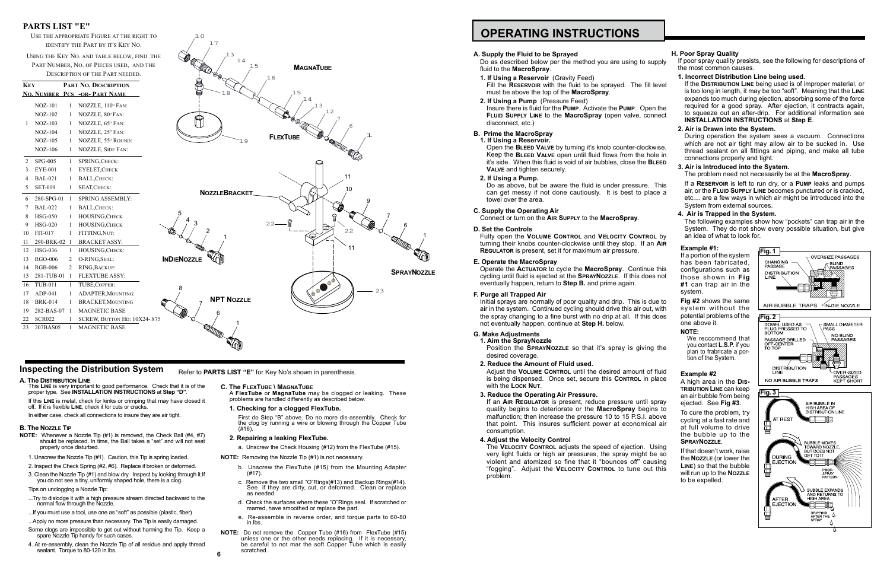## **OPERATING INSTRUCTIONS**

### **A. Supply the Fluid to be Sprayed**

Do as described below per the method you are using to supply fluid to the **MacroSpray**.

- **1. If Using a Reservoir** (Gravity Feed) Fill the **RESERVOIR** with the fluid to be sprayed. The fill must be above the top of the **MacroSpray**.
- **2. If Using a Pump** (Pressure Feed) Insure there is fluid for the PUMP. Activate the PUMP. Open **FLUID SUPPLY LINE to the MacroSpray** (open valve, con disconnect, etc.)

Open the **BLEED VALVE** by turning it's knob counter-clocky Keep the **BLEED VALVE** open until fluid flows from the ho it's side. When this fluid is void of air bubbles, close the **B Valve** and tighten securely.

Do as above, but be aware the fluid is under pressure. can get messy if not done cautiously. It is best to pla towel over the area.

### **B. Prime the MacroSpray**

### **1. If Using a Reservoir.**

Operate the **Actuator** to cycle the **MacroSpray**. Continue cycling until fluid is ejected at the **SPRAYNOZZLE**. If this does eventually happen, return to **Step B.** and prime again.

### **2. If Using a Pump.**

Initial sprays are normally of poor quality and drip. This is du air in the system. Continued cycling should drive this air out, the spray changing to a fine burst with no drip at all. If this not eventually happen, continue at **Step H.** below.

Position the **SPRAYNOZZLE** so that it's spray is giving desired coverage.

### **C. Supply the Operating Air**

Connect or turn on the **Air Supply** to the **MacroSpray**.

Adjust the VOLUME CONTROL until the desired amount of is being dispensed. Once set, secure this **CONTROL** in p with the **Lock Nut**.

### **D. Set the Controls**

Fully open the **Volume Control** and **Velocity Control** by turning their knobs counter-clockwise until they stop. If an **Regulator** is present, set it for maximum air pressure.

If an **AIR REGULATOR** is present, reduce pressure until s quality begins to deteriorate or the **MacroSpray** begin malfunction; then increase the pressure 10 to 15 P.S.I. above that point. This insures sufficient power at economical consumption.

### **E. Operate the MacroSpray**

The **VELOCITY CONTROL** adjusts the speed of ejection. L very light fluids or high air pressures, the spray might be violent and atomized so fine that it "bounces off" cau "fogging". Adjust the VELOCITY CONTROL to tune out problem.

| upply                   | H. Poor Spray Quality                                                                                                                                                                                                                                                                                                                                                                  | If poor spray quality presists, see the following for descriptions of                                                                                                                                                                          |  |  |  |
|-------------------------|----------------------------------------------------------------------------------------------------------------------------------------------------------------------------------------------------------------------------------------------------------------------------------------------------------------------------------------------------------------------------------------|------------------------------------------------------------------------------------------------------------------------------------------------------------------------------------------------------------------------------------------------|--|--|--|
|                         | the most common causes.                                                                                                                                                                                                                                                                                                                                                                |                                                                                                                                                                                                                                                |  |  |  |
| level<br>n the<br>าnect | 1. Incorrect Distribution Line being used.<br>If the DISTRIBUTION LINE being used is of improper material, or<br>is too long in length, it may be too "soft". Meaning that the LINE<br>expands too much during ejection, absorbing some of the force<br>required for a good spray. After ejection, it contracts again,<br>to squeeze out an after-drip. For additional information see |                                                                                                                                                                                                                                                |  |  |  |
|                         | <b>INSTALLATION INSTRUCTIONS at Step E.</b>                                                                                                                                                                                                                                                                                                                                            |                                                                                                                                                                                                                                                |  |  |  |
| wise.<br>in פּ<br>LEED  | 2. Air is Drawn into the System.<br>connections properly and tight.<br>3. Air is Introduced into the System.                                                                                                                                                                                                                                                                           | During operation the system sees a vacuum. Connections<br>which are not air tight may allow air to be sucked in. Use<br>thread sealant on all fittings and piping, and make all tube<br>The problem need not necessarily be at the MacroSpray. |  |  |  |
| This<br>ce a            | System from external sources.<br>4. Air is Trapped in the System.                                                                                                                                                                                                                                                                                                                      | If a RESERVOIR is left to run dry, or a PUMP leaks and pumps<br>air, or the FLUID SUPPLY LINE becomes punctured or is cracked,<br>etc are a few ways in which air might be introduced into the                                                 |  |  |  |
|                         |                                                                                                                                                                                                                                                                                                                                                                                        | The following examples show how "pockets" can trap air in the<br>System. They do not show every possible situation, but give                                                                                                                   |  |  |  |
| n pv                    | an idea of what to look for.                                                                                                                                                                                                                                                                                                                                                           |                                                                                                                                                                                                                                                |  |  |  |
| ו AlR                   | Example #1:                                                                                                                                                                                                                                                                                                                                                                            |                                                                                                                                                                                                                                                |  |  |  |
|                         | If a portion of the system<br>has been fabricated,                                                                                                                                                                                                                                                                                                                                     | Fig. 1<br><b>OVERSIZE PASSAGES</b><br>CHANGING<br><b>BLIND</b>                                                                                                                                                                                 |  |  |  |
| e this<br>s not         | configurations such as                                                                                                                                                                                                                                                                                                                                                                 | PASSAGE<br>PASSAGES<br><b>DISTRIBUTION</b>                                                                                                                                                                                                     |  |  |  |
|                         | those shown in Fig<br>#1 can trap air in the<br>system.                                                                                                                                                                                                                                                                                                                                | LINE                                                                                                                                                                                                                                           |  |  |  |
| ue to                   | Fig #2 shows the same                                                                                                                                                                                                                                                                                                                                                                  | $\leq$ IN-DIE NOZZLE<br>AIR BUBBLE TRAPS                                                                                                                                                                                                       |  |  |  |
| with<br>does            | system without the<br>potential problems of the                                                                                                                                                                                                                                                                                                                                        | Fig. 2                                                                                                                                                                                                                                         |  |  |  |
|                         | one above it.                                                                                                                                                                                                                                                                                                                                                                          | DOWEL USED AS<br><b>SMALL DIAMETER</b><br>PLUG PRESSED TO<br><b>PASS</b>                                                                                                                                                                       |  |  |  |
|                         | <b>NOTE:</b><br>We reccommend that                                                                                                                                                                                                                                                                                                                                                     | <b>BOTTOM</b><br><b>NO BLIND</b>                                                                                                                                                                                                               |  |  |  |
| າ the                   | you contact <b>L.S.P.</b> if you                                                                                                                                                                                                                                                                                                                                                       | PASSAGE DRILLED<br>PASSAGES<br>OFF-CENTER<br>ТО ТОР                                                                                                                                                                                            |  |  |  |
|                         | plan to frabricate a por-<br>tion of the System.                                                                                                                                                                                                                                                                                                                                       |                                                                                                                                                                                                                                                |  |  |  |
| fluid                   | Example #2                                                                                                                                                                                                                                                                                                                                                                             | <b>DISTRIBUTION</b><br>LINE<br>OVER-SIZED                                                                                                                                                                                                      |  |  |  |
| ласе                    | A high area in the Dis-                                                                                                                                                                                                                                                                                                                                                                | PASSAGES<br>NO AIR BUBBLE TRAPS<br><b>KEPT SHORT</b>                                                                                                                                                                                           |  |  |  |
|                         | <b>TRIBUTION LINE CAN Keep</b>                                                                                                                                                                                                                                                                                                                                                         | Fig. 3                                                                                                                                                                                                                                         |  |  |  |
| spray                   | an air bubble from being<br>ejected. See Fig #3.                                                                                                                                                                                                                                                                                                                                       | AIR BUBBLE IN                                                                                                                                                                                                                                  |  |  |  |
| าร to                   | To cure the problem, try                                                                                                                                                                                                                                                                                                                                                               | <b>HIGH AREA OF</b><br>DISTRIBUTION LINE                                                                                                                                                                                                       |  |  |  |
| bove<br>al air          | cycling at a fast rate and                                                                                                                                                                                                                                                                                                                                                             | AT REST<br>加了                                                                                                                                                                                                                                  |  |  |  |
|                         | at full volume to drive<br>the bubble up to the                                                                                                                                                                                                                                                                                                                                        |                                                                                                                                                                                                                                                |  |  |  |
| Jsing                   | SPRAYNOZZLE.                                                                                                                                                                                                                                                                                                                                                                           | <b>BUBBLE MOVES</b><br>TOWARD NOZZLE,                                                                                                                                                                                                          |  |  |  |
| e so                    | If that doesn't work, raise<br>the <b>NOZZLE</b> (or lower the                                                                                                                                                                                                                                                                                                                         | BUT DOES NOT<br><b>GET TO IT</b><br><b>DURING</b>                                                                                                                                                                                              |  |  |  |
| ısing<br>∶ this         | LINE) so that the bubble                                                                                                                                                                                                                                                                                                                                                               | <b>EJECTION</b><br>⊪⊡                                                                                                                                                                                                                          |  |  |  |
|                         | will run up to the NozzLE<br>to be expelled.                                                                                                                                                                                                                                                                                                                                           | POOR<br>SPRAY<br>Д<br>PATTERN                                                                                                                                                                                                                  |  |  |  |
|                         |                                                                                                                                                                                                                                                                                                                                                                                        | <b>BUBBLE EXPANDS</b><br>AND RETURNS TO<br>HIGH AREA<br>AFTER                                                                                                                                                                                  |  |  |  |
|                         |                                                                                                                                                                                                                                                                                                                                                                                        | <b>EJECTION</b><br>吡                                                                                                                                                                                                                           |  |  |  |

DRIPPING<br>AFTER THE

۰۵ - ^

萺

### **F. Purge all Trapped Air**

### **G. Make Adjustments**

**1. Aim the SprayNozzle**

### **2. Reduce the Amount of Fluid used.**

### **3. Reduce the Operating Air Pressure.**

### **4. Adjust the Velocity Control**

First do Step "B" above. Do no more dis-assembly. Check for the clog by running a wire or blowing through the Copper Tube (#16)

- **NOTE:** Whenever a Nozzle Tip (#1) is removed, the Check Ball (#4, #7) should be replaced. In time, the Ball takes a "set" and will not seat properly once disturbed.
- 1. Unscrew the Nozzle Tip (#1). Caution, this Tip is spring loaded.
- 2. Inspect the Check Spring (#2, #6). Replace if broken or deformed.
- 3. Clean the Nozzle Tip (#1) and blow dry. Inspect by looking through it.If you do not see a tiny, uniformly shaped hole, there is a clog.

- ...Try to dislodge it with a high pressure stream directed backward to the normal flow through the Nozzle.
- ...If you must use a tool, use one as "soft" as possible (plastic, fiber)
- ...Apply no more pressure than necessary. The Tip is easily damaged.
- Some clogs are impossible to get out without harming the Tip. Keep a spare Nozzle Tip handy for such cases.
- 4. At re-assembly, clean the Nozzle Tip of all residue and apply thread sealant. Torque to 80-120 in.lbs. **66**

**Inspecting the Distribution System** Refer to **PARTS LIST** "E" for Key No's shown in parenthesis.

### **C. The FlexTube \ MagnaTube**

A **FlexTube** or **MagnaTube** may be clogged or leaking. These problems are handled differently as described below.

### **1. Checking for a clogged FlexTube.**

### **2. Repairing a leaking FlexTube.**

a. Unscrew the Check Housing (#12) from the FlexTube (#15).

**NOTE:** Removing the Nozzle Tip (#1) is not necessary.

- b. Unscrew the FlexTube (#15) from the Mounting Adapter (#17).
- c. Remove the two small "O"Rings(#13) and Backup Rings(#14). See if they are dirty, cut, or deformed. Clean or replace as needed
- d. Check the surfaces where these "O"Rings seal. If scratched or marred, have smoothed or replace the part.
- e. Re-assemble in reverse order, and torque parts to 60-80 in.lbs.
- **NOTE:** Do not remove the Copper Tube (#16) from FlexTube (#15) unless one or the other needs replacing. If it is necessary, be careful to not mar the soft Copper Tube which is easily scratched.

**A. The Distribution Line**

This **Line** is very important to good performance. Check that it is of the proper type. See **INSTALLATION INSTRUCTIONS** at **Step "D"**. If this **Line** is metal, check for kinks or crimping that may have closed it

off. If it is flexible **Line**, check it for cuts or cracks.

In either case, check all connections to insure they are air tight.

### **B. The Nozzle Tip**

### Tips on unclogging a Nozzle Tip:

### **PARTS LIST "E"**

Use the appropriate Figure at the right to identify the Part by it's Key No.

Using the Key No. and table below, find the Part Number, No. of Pieces used, and the Description of the Part needed.

| <b>KEY</b>     |                |                | PART NO. DESCRIPTION                 |   |
|----------------|----------------|----------------|--------------------------------------|---|
|                |                |                | <b>NO. NUMBER PCS -OR- PART NAME</b> |   |
|                | <b>NOZ-101</b> | 1              | NOZZLE, 110° FAN:                    |   |
|                | $NOZ-102$      | 1              | NOZZLE, 80° FAN:                     |   |
| 1              | $NOZ-103$      | 1              | NOZZLE, 65° FAN:                     |   |
|                | $NOZ-104$      | 1              | NOZZLE, 25° FAN:                     |   |
|                | $NOZ-105$      | 1              | NOZZLE, 55° ROUND:                   |   |
|                | $NOZ-106$      | 1              | <b>NOZZLE, SIDE FAN:</b>             |   |
| $\overline{2}$ | <b>SPG-005</b> | 1              | SPRING, CHECK:                       |   |
| 3              | <b>EYE-001</b> | 1              | <b>EYELET, CHECK</b>                 |   |
| 4              | <b>BAL-021</b> | 1              | <b>BALL, CHECK:</b>                  |   |
| 5              | <b>SET-019</b> | 1              | SEAT, CHECK:                         |   |
| 6              | 280-SPG-01     | 1              | <b>SPRING ASSEMBLY:</b>              |   |
| 7              | <b>BAL-022</b> | 1              | <b>BALL, CHECK:</b>                  |   |
| 8              | <b>HSG-050</b> | 1              | <b>HOUSING, CHECK</b>                |   |
| 9              | <b>HSG-020</b> | 1              | HOUSING, CHECK                       |   |
| 10             | FIT-017        | 1              | FITTING, NUT:                        |   |
| 11             | 290-BRK-02     | 1              | <b>BRACKET ASSY:</b>                 |   |
| 12             | <b>HSG-036</b> | 1              | HOUSING, CHECK:                      |   |
| 13             | RGO-006        | 2              | O-RING, SEAL:                        |   |
| 14             | <b>RGB-006</b> | $\overline{2}$ | RING, BACKUP:                        |   |
| 15             | 281-TUB-01     | 1              | <b>FLEXTUBE ASSY:</b>                |   |
| 16             | <b>TUB-011</b> | 1              | TUBE, COPPER:                        |   |
| 17             | $ADP-041$      | 1              | <b>ADAPTER, MOUNTING:</b>            |   |
| 18             | <b>BRK-014</b> | $\mathbf{1}$   | <b>BRACKET, MOUNTING</b>             | 6 |
| 19             | 282-BAS-07     | 1              | <b>MAGNETIC BASE</b>                 |   |
| 22             | <b>SCR022</b>  | 1              | SCREW, BUTTON HD: 10X24-.875         |   |
| 23             | 207BAS05       | 1              | <b>MAGNETIC BASE</b>                 |   |